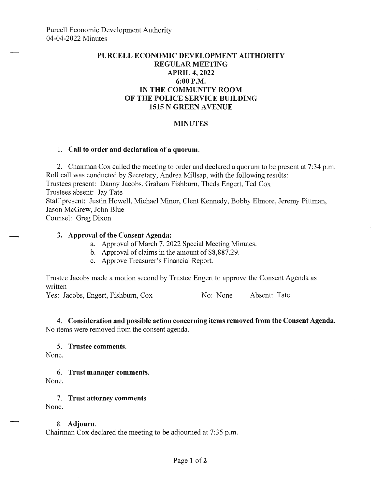## **PURCELL ECONOMIC DEVELOPMENT AUTHORITY REGULAR MEETING APRIL 4, 2022 6:00P.M. IN THE COMMUNITY ROOM OF THE POLICE SERVICE BUILDING 1515 N GREEN A VENUE**

#### **MINUTES**

#### **1. Call to order and declaration of a quorum.**

2. Chairman Cox called the meeting to order and declared a quorum to be present at 7:34 p.m. Roll call was conducted by Secretary, Andrea Millsap, with the following results: Trustees present: Danny Jacobs, Graham Fishburn, Theda Engert, Ted Cox Trustees absent: Jay Tate Staff present: Justin Howell, Michael Minor, Clent Kennedy, Bobby Elmore, Jeremy Pittman, Jason McGrew, John Blue

Counsel: Greg Dixon

#### **3. Approval of the Consent Agenda:**

- a. Approval of March 7, 2022 Special Meeting Minutes.
- b. Approval of claims in the amount of \$8,887.29.
- c. Approve Treasurer's Financial Report.

Trustee Jacobs made a motion second by Trustee Engert to approve the Consent Agenda as written

Yes: Jacobs, Engert, Fishburn, Cox No: None Absent: Tate

**4. Consideration and possible action concerning items removed from the Consent Agenda.**  No items were removed from the consent agenda.

### 5. **Trustee comments.**

None.

6. **Trust manager comments.**  None.

7. **Trust attorney comments.**  None.

# 8. **Adjourn.**

Chairman Cox declared the meeting to be adjourned at 7:35 p.m.